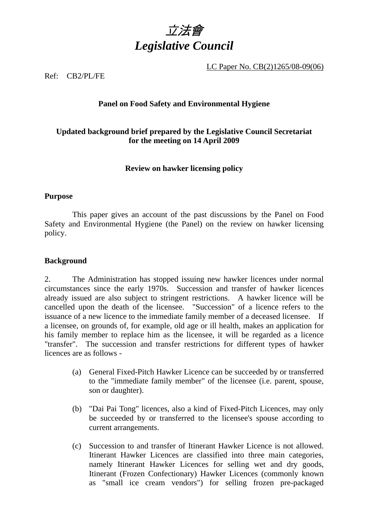

LC Paper No. CB(2)1265/08-09(06)

## Ref: CB2/PL/FE

## **Panel on Food Safety and Environmental Hygiene**

# **Updated background brief prepared by the Legislative Council Secretariat for the meeting on 14 April 2009**

## **Review on hawker licensing policy**

## **Purpose**

This paper gives an account of the past discussions by the Panel on Food Safety and Environmental Hygiene (the Panel) on the review on hawker licensing policy.

## **Background**

2.. The Administration has stopped issuing new hawker licences under normal circumstances since the early 1970s. Succession and transfer of hawker licences already issued are also subject to stringent restrictions. A hawker licence will be cancelled upon the death of the licensee. "Succession" of a licence refers to the issuance of a new licence to the immediate family member of a deceased licensee. If a licensee, on grounds of, for example, old age or ill health, makes an application for his family member to replace him as the licensee, it will be regarded as a licence "transfer". The succession and transfer restrictions for different types of hawker licences are as follows -

- (a) General Fixed-Pitch Hawker Licence can be succeeded by or transferred to the "immediate family member" of the licensee (i.e. parent, spouse, son or daughter).
- (b) "Dai Pai Tong" licences, also a kind of Fixed-Pitch Licences, may only be succeeded by or transferred to the licensee's spouse according to current arrangements.
- (c) Succession to and transfer of Itinerant Hawker Licence is not allowed. Itinerant Hawker Licences are classified into three main categories, namely Itinerant Hawker Licences for selling wet and dry goods, Itinerant (Frozen Confectionary) Hawker Licences (commonly known as "small ice cream vendors") for selling frozen pre-packaged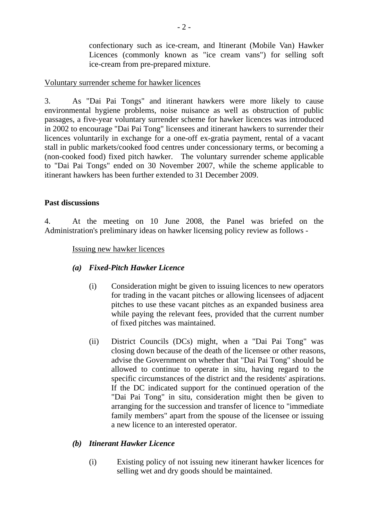confectionary such as ice-cream, and Itinerant (Mobile Van) Hawker Licences (commonly known as "ice cream vans") for selling soft ice-cream from pre-prepared mixture.

## Voluntary surrender scheme for hawker licences

3.. As "Dai Pai Tongs" and itinerant hawkers were more likely to cause environmental hygiene problems, noise nuisance as well as obstruction of public passages, a five-year voluntary surrender scheme for hawker licences was introduced in 2002 to encourage "Dai Pai Tong" licensees and itinerant hawkers to surrender their licences voluntarily in exchange for a one-off ex-gratia payment, rental of a vacant stall in public markets/cooked food centres under concessionary terms, or becoming a (non-cooked food) fixed pitch hawker. The voluntary surrender scheme applicable to "Dai Pai Tongs" ended on 30 November 2007, while the scheme applicable to itinerant hawkers has been further extended to 31 December 2009.

## **Past discussions**

4.. At the meeting on 10 June 2008, the Panel was briefed on the Administration's preliminary ideas on hawker licensing policy review as follows -

## Issuing new hawker licences

- *(a) Fixed-Pitch Hawker Licence* 
	- (i) Consideration might be given to issuing licences to new operators for trading in the vacant pitches or allowing licensees of adjacent pitches to use these vacant pitches as an expanded business area while paying the relevant fees, provided that the current number of fixed pitches was maintained.
	- (ii) District Councils (DCs) might, when a "Dai Pai Tong" was closing down because of the death of the licensee or other reasons, advise the Government on whether that "Dai Pai Tong" should be allowed to continue to operate in situ, having regard to the specific circumstances of the district and the residents' aspirations. If the DC indicated support for the continued operation of the "Dai Pai Tong" in situ, consideration might then be given to arranging for the succession and transfer of licence to "immediate family members" apart from the spouse of the licensee or issuing a new licence to an interested operator.

# *(b) Itinerant Hawker Licence*

(i) Existing policy of not issuing new itinerant hawker licences for selling wet and dry goods should be maintained.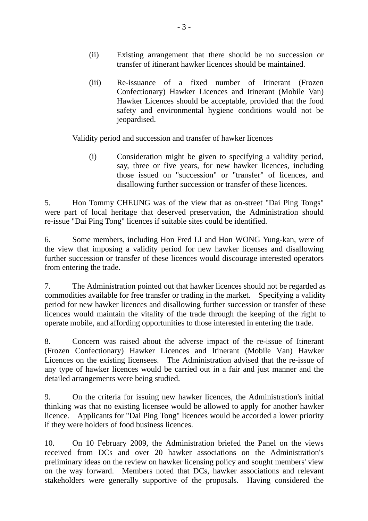- (ii) Existing arrangement that there should be no succession or transfer of itinerant hawker licences should be maintained.
- (iii) Re-issuance of a fixed number of Itinerant (Frozen Confectionary) Hawker Licences and Itinerant (Mobile Van) Hawker Licences should be acceptable, provided that the food safety and environmental hygiene conditions would not be jeopardised.

# Validity period and succession and transfer of hawker licences

(i) Consideration might be given to specifying a validity period, say, three or five years, for new hawker licences, including those issued on "succession" or "transfer" of licences, and disallowing further succession or transfer of these licences.

5. Hon Tommy CHEUNG was of the view that as on-street "Dai Ping Tongs" were part of local heritage that deserved preservation, the Administration should re-issue "Dai Ping Tong" licences if suitable sites could be identified.

6. Some members, including Hon Fred LI and Hon WONG Yung-kan, were of the view that imposing a validity period for new hawker licenses and disallowing further succession or transfer of these licences would discourage interested operators from entering the trade.

7. The Administration pointed out that hawker licences should not be regarded as commodities available for free transfer or trading in the market. Specifying a validity period for new hawker licences and disallowing further succession or transfer of these licences would maintain the vitality of the trade through the keeping of the right to operate mobile, and affording opportunities to those interested in entering the trade.

8. Concern was raised about the adverse impact of the re-issue of Itinerant (Frozen Confectionary) Hawker Licences and Itinerant (Mobile Van) Hawker Licences on the existing licensees. The Administration advised that the re-issue of any type of hawker licences would be carried out in a fair and just manner and the detailed arrangements were being studied.

9. On the criteria for issuing new hawker licences, the Administration's initial thinking was that no existing licensee would be allowed to apply for another hawker licence. Applicants for "Dai Ping Tong" licences would be accorded a lower priority if they were holders of food business licences.

10. On 10 February 2009, the Administration briefed the Panel on the views received from DCs and over 20 hawker associations on the Administration's preliminary ideas on the review on hawker licensing policy and sought members' view on the way forward. Members noted that DCs, hawker associations and relevant stakeholders were generally supportive of the proposals. Having considered the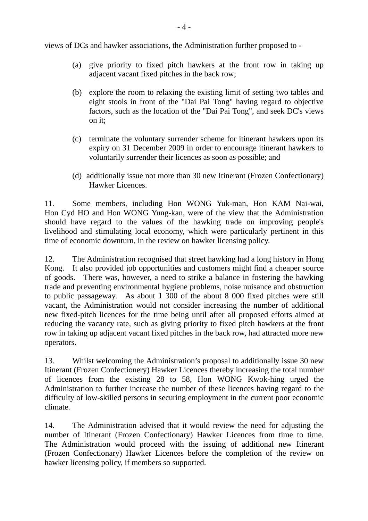views of DCs and hawker associations, the Administration further proposed to -

- (a) give priority to fixed pitch hawkers at the front row in taking up adjacent vacant fixed pitches in the back row;
- (b) explore the room to relaxing the existing limit of setting two tables and eight stools in front of the "Dai Pai Tong" having regard to objective factors, such as the location of the "Dai Pai Tong", and seek DC's views on it;
- (c) terminate the voluntary surrender scheme for itinerant hawkers upon its expiry on 31 December 2009 in order to encourage itinerant hawkers to voluntarily surrender their licences as soon as possible; and
- (d) additionally issue not more than 30 new Itinerant (Frozen Confectionary) Hawker Licences.

11. Some members, including Hon WONG Yuk-man, Hon KAM Nai-wai, Hon Cyd HO and Hon WONG Yung-kan, were of the view that the Administration should have regard to the values of the hawking trade on improving people's livelihood and stimulating local economy, which were particularly pertinent in this time of economic downturn, in the review on hawker licensing policy.

12. The Administration recognised that street hawking had a long history in Hong Kong. It also provided job opportunities and customers might find a cheaper source of goods. There was, however, a need to strike a balance in fostering the hawking trade and preventing environmental hygiene problems, noise nuisance and obstruction to public passageway. As about 1 300 of the about 8 000 fixed pitches were still vacant, the Administration would not consider increasing the number of additional new fixed-pitch licences for the time being until after all proposed efforts aimed at reducing the vacancy rate, such as giving priority to fixed pitch hawkers at the front row in taking up adjacent vacant fixed pitches in the back row, had attracted more new operators.

13. Whilst welcoming the Administration's proposal to additionally issue 30 new Itinerant (Frozen Confectionery) Hawker Licences thereby increasing the total number of licences from the existing 28 to 58, Hon WONG Kwok-hing urged the Administration to further increase the number of these licences having regard to the difficulty of low-skilled persons in securing employment in the current poor economic climate.

14. The Administration advised that it would review the need for adjusting the number of Itinerant (Frozen Confectionary) Hawker Licences from time to time. The Administration would proceed with the issuing of additional new Itinerant (Frozen Confectionary) Hawker Licences before the completion of the review on hawker licensing policy, if members so supported.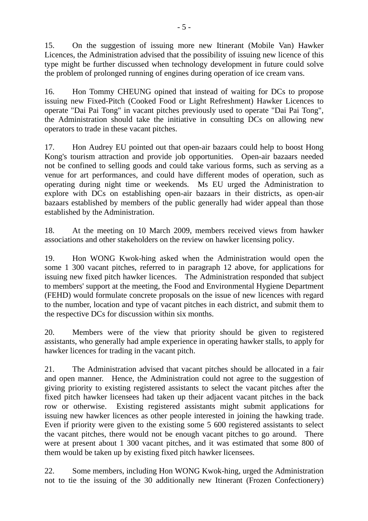15. On the suggestion of issuing more new Itinerant (Mobile Van) Hawker Licences, the Administration advised that the possibility of issuing new licence of this type might be further discussed when technology development in future could solve the problem of prolonged running of engines during operation of ice cream vans.

16. Hon Tommy CHEUNG opined that instead of waiting for DCs to propose issuing new Fixed-Pitch (Cooked Food or Light Refreshment) Hawker Licences to operate "Dai Pai Tong" in vacant pitches previously used to operate "Dai Pai Tong", the Administration should take the initiative in consulting DCs on allowing new operators to trade in these vacant pitches.

17. Hon Audrey EU pointed out that open-air bazaars could help to boost Hong Kong's tourism attraction and provide job opportunities. Open-air bazaars needed not be confined to selling goods and could take various forms, such as serving as a venue for art performances, and could have different modes of operation, such as operating during night time or weekends. Ms EU urged the Administration to explore with DCs on establishing open-air bazaars in their districts, as open-air bazaars established by members of the public generally had wider appeal than those established by the Administration.

18. At the meeting on 10 March 2009, members received views from hawker associations and other stakeholders on the review on hawker licensing policy.

19. Hon WONG Kwok-hing asked when the Administration would open the some 1 300 vacant pitches, referred to in paragraph 12 above, for applications for issuing new fixed pitch hawker licences. The Administration responded that subject to members' support at the meeting, the Food and Environmental Hygiene Department (FEHD) would formulate concrete proposals on the issue of new licences with regard to the number, location and type of vacant pitches in each district, and submit them to the respective DCs for discussion within six months.

20. Members were of the view that priority should be given to registered assistants, who generally had ample experience in operating hawker stalls, to apply for hawker licences for trading in the vacant pitch.

21. The Administration advised that vacant pitches should be allocated in a fair and open manner. Hence, the Administration could not agree to the suggestion of giving priority to existing registered assistants to select the vacant pitches after the fixed pitch hawker licensees had taken up their adjacent vacant pitches in the back row or otherwise. Existing registered assistants might submit applications for issuing new hawker licences as other people interested in joining the hawking trade. Even if priority were given to the existing some 5 600 registered assistants to select the vacant pitches, there would not be enough vacant pitches to go around. There were at present about 1 300 vacant pitches, and it was estimated that some 800 of them would be taken up by existing fixed pitch hawker licensees.

22. Some members, including Hon WONG Kwok-hing, urged the Administration not to tie the issuing of the 30 additionally new Itinerant (Frozen Confectionery)